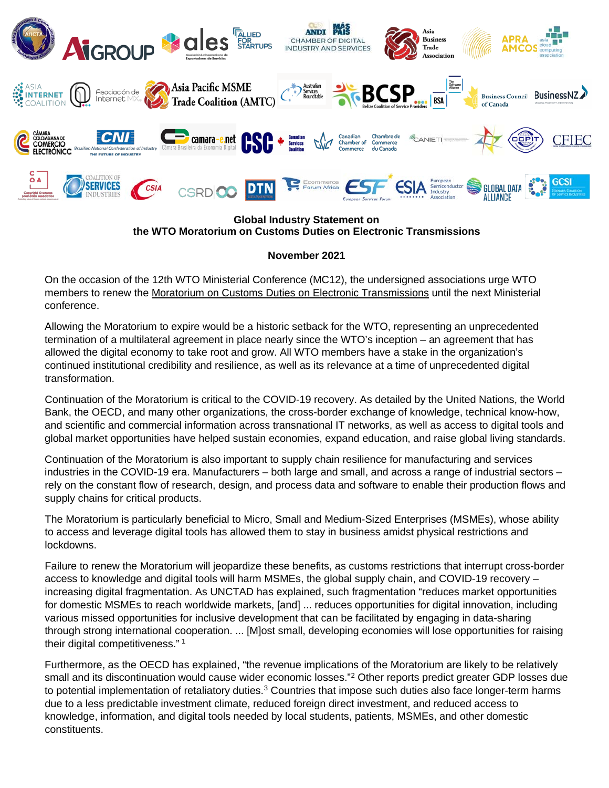

## **Global Industry Statement on the WTO Moratorium on Customs Duties on Electronic Transmissions**

## **November 2021**

On the occasion of the 12th WTO Ministerial Conference (MC12), the undersigned associations urge WTO members to renew the Moratorium on Customs Duties on Electronic Transmissions until the next Ministerial conference.

Allowing the Moratorium to expire would be a historic setback for the WTO, representing an unprecedented termination of a multilateral agreement in place nearly since the WTO's inception – an agreement that has allowed the digital economy to take root and grow. All WTO members have a stake in the organization's continued institutional credibility and resilience, as well as its relevance at a time of unprecedented digital transformation.

Continuation of the Moratorium is critical to the COVID-19 recovery. As detailed by the United Nations, the World Bank, the OECD, and many other organizations, the cross-border exchange of knowledge, technical know-how, and scientific and commercial information across transnational IT networks, as well as access to digital tools and global market opportunities have helped sustain economies, expand education, and raise global living standards.

Continuation of the Moratorium is also important to supply chain resilience for manufacturing and services industries in the COVID-19 era. Manufacturers – both large and small, and across a range of industrial sectors – rely on the constant flow of research, design, and process data and software to enable their production flows and supply chains for critical products.

The Moratorium is particularly beneficial to Micro, Small and Medium-Sized Enterprises (MSMEs), whose ability to access and leverage digital tools has allowed them to stay in business amidst physical restrictions and lockdowns.

Failure to renew the Moratorium will jeopardize these benefits, as customs restrictions that interrupt cross-border access to knowledge and digital tools will harm MSMEs, the global supply chain, and COVID-19 recovery – increasing digital fragmentation. As UNCTAD has explained, such fragmentation "reduces market opportunities for domestic MSMEs to reach worldwide markets, [and] ... reduces opportunities for digital innovation, including various missed opportunities for inclusive development that can be facilitated by engaging in data-sharing through strong international cooperation. ... [M]ost small, developing economies will lose opportunities for raising their digital competitiveness."<sup>[1](#page-2-0)</sup>

Furthermore, as the OECD has explained, "the revenue implications of the Moratorium are likely to be relatively small and its discontinuation would cause wider economic losses."<sup>[2](#page-2-1)</sup> Other reports predict greater GDP losses due to potential implementation of retaliatory duties.<sup>[3](#page-2-2)</sup> Countries that impose such duties also face longer-term harms due to a less predictable investment climate, reduced foreign direct investment, and reduced access to knowledge, information, and digital tools needed by local students, patients, MSMEs, and other domestic constituents.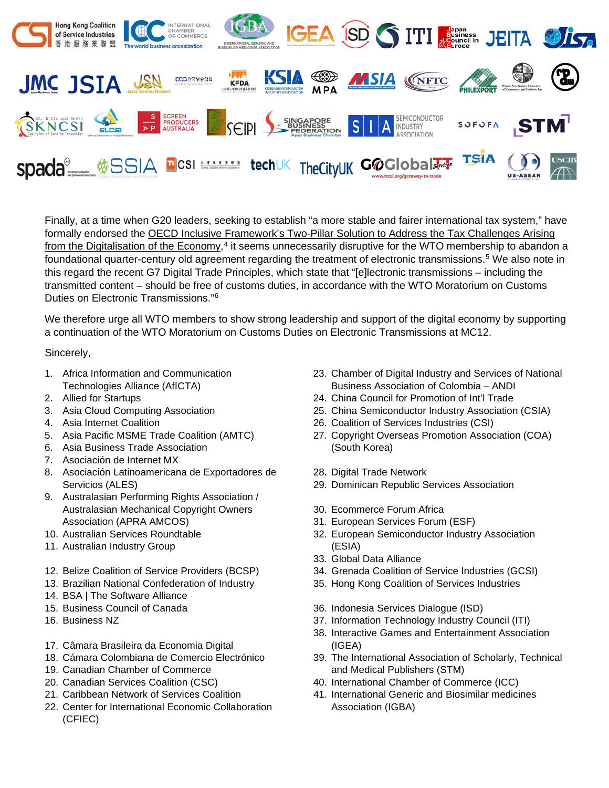

Finally, at a time when G20 leaders, seeking to establish "a more stable and fairer international tax system," have formally endorsed the OECD Inclusive Framework's Two-Pillar Solution to Address the Tax Challenges Arising from the Digitalisation of the Economy,<sup>[4](#page-2-3)</sup> it seems unnecessarily disruptive for the WTO membership to abandon a foundational quarter-century old agreement regarding the treatment of electronic transmissions.<sup>[5](#page-2-4)</sup> We also note in this regard the recent G7 Digital Trade Principles, which state that "[e]lectronic transmissions – including the transmitted content – should be free of customs duties, in accordance with the WTO Moratorium on Customs Duties on Electronic Transmissions."[6](#page-2-5)

We therefore urge all WTO members to show strong leadership and support of the digital economy by supporting a continuation of the WTO Moratorium on Customs Duties on Electronic Transmissions at MC12.

Sincerely,

- 1. Africa Information and Communication Technologies Alliance (AfICTA)
- 2. Allied for Startups
- 3. Asia Cloud Computing Association
- 4. Asia Internet Coalition
- 5. Asia Pacific MSME Trade Coalition (AMTC)
- 6. Asia Business Trade Association
- 7. Asociación de Internet MX
- 8. Asociación Latinoamericana de Exportadores de Servicios (ALES)
- 9. Australasian Performing Rights Association / Australasian Mechanical Copyright Owners Association (APRA AMCOS)
- 10. Australian Services Roundtable
- 11. Australian Industry Group
- 12. Belize Coalition of Service Providers (BCSP)
- 13. Brazilian National Confederation of Industry
- 14. BSA | The Software Alliance
- 15. Business Council of Canada
- 16. Business NZ
- 17. Câmara Brasileira da Economia Digital
- 18. Cámara Colombiana de Comercio Electrónico
- 19. Canadian Chamber of Commerce
- 20. Canadian Services Coalition (CSC)
- 21. Caribbean Network of Services Coalition
- 22. Center for International Economic Collaboration (CFIEC)
- 23. Chamber of Digital Industry and Services of National Business Association of Colombia – ANDI
- 24. China Council for Promotion of Int'l Trade
- 25. China Semiconductor Industry Association (CSIA)
- 26. Coalition of Services Industries (CSI)
- 27. Copyright Overseas Promotion Association (COA) (South Korea)
- 28. Digital Trade Network
- 29. Dominican Republic Services Association
- 30. Ecommerce Forum Africa
- 31. European Services Forum (ESF)
- 32. European Semiconductor Industry Association (ESIA)
- 33. Global Data Alliance
- 34. Grenada Coalition of Service Industries (GCSI)
- 35. Hong Kong Coalition of Services Industries
- 36. Indonesia Services Dialogue (ISD)
- 37. Information Technology Industry Council (ITI)
- 38. Interactive Games and Entertainment Association (IGEA)
- 39. The International Association of Scholarly, Technical and Medical Publishers (STM)
- 40. International Chamber of Commerce (ICC)
- 41. International Generic and Biosimilar medicines Association (IGBA)